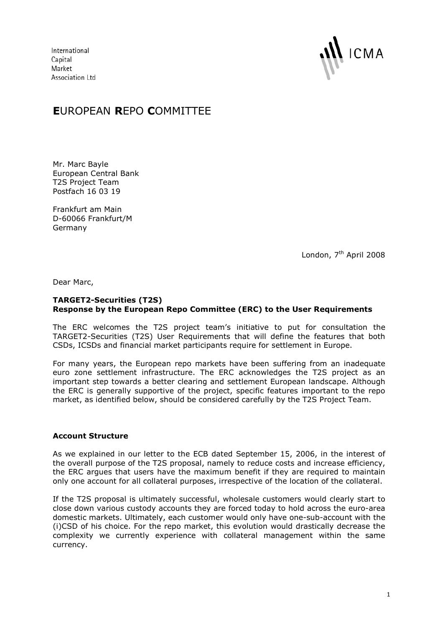International Capital Market Association Ltd



## **E**UROPEAN **R**EPO **C**OMMITTEE

Mr. Marc Bayle European Central Bank T2S Project Team Postfach 16 03 19

Frankfurt am Main D-60066 Frankfurt/M Germany

London, 7<sup>th</sup> April 2008

Dear Marc,

## **TARGET2-Securities (T2S) Response by the European Repo Committee (ERC) to the User Requirements**

The ERC welcomes the T2S project team's initiative to put for consultation the TARGET2-Securities (T2S) User Requirements that will define the features that both CSDs, ICSDs and financial market participants require for settlement in Europe.

For many years, the European repo markets have been suffering from an inadequate euro zone settlement infrastructure. The ERC acknowledges the T2S project as an important step towards a better clearing and settlement European landscape. Although the ERC is generally supportive of the project, specific features important to the repo market, as identified below, should be considered carefully by the T2S Project Team.

## **Account Structure**

As we explained in our letter to the ECB dated September 15, 2006, in the interest of the overall purpose of the T2S proposal, namely to reduce costs and increase efficiency, the ERC argues that users have the maximum benefit if they are required to maintain only one account for all collateral purposes, irrespective of the location of the collateral.

If the T2S proposal is ultimately successful, wholesale customers would clearly start to close down various custody accounts they are forced today to hold across the euro-area domestic markets. Ultimately, each customer would only have one-sub-account with the (i)CSD of his choice. For the repo market, this evolution would drastically decrease the complexity we currently experience with collateral management within the same currency.